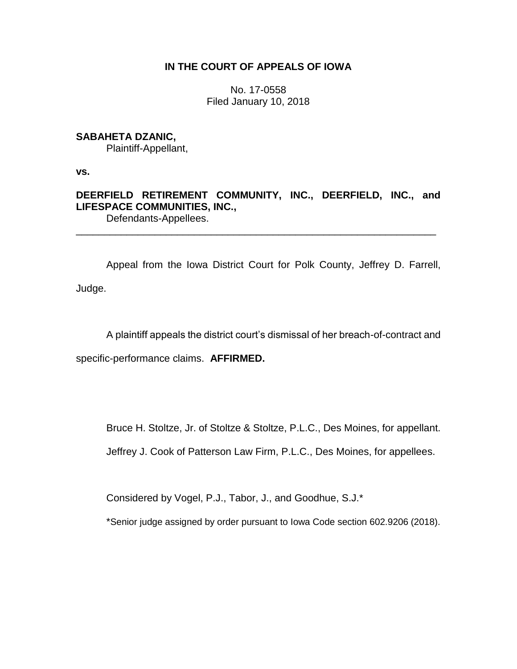## **IN THE COURT OF APPEALS OF IOWA**

No. 17-0558 Filed January 10, 2018

## **SABAHETA DZANIC,**

Plaintiff-Appellant,

**vs.**

**DEERFIELD RETIREMENT COMMUNITY, INC., DEERFIELD, INC., and LIFESPACE COMMUNITIES, INC.,** Defendants-Appellees.

\_\_\_\_\_\_\_\_\_\_\_\_\_\_\_\_\_\_\_\_\_\_\_\_\_\_\_\_\_\_\_\_\_\_\_\_\_\_\_\_\_\_\_\_\_\_\_\_\_\_\_\_\_\_\_\_\_\_\_\_\_\_\_\_

Appeal from the Iowa District Court for Polk County, Jeffrey D. Farrell,

Judge.

A plaintiff appeals the district court's dismissal of her breach-of-contract and

specific-performance claims. **AFFIRMED.**

Bruce H. Stoltze, Jr. of Stoltze & Stoltze, P.L.C., Des Moines, for appellant.

Jeffrey J. Cook of Patterson Law Firm, P.L.C., Des Moines, for appellees.

Considered by Vogel, P.J., Tabor, J., and Goodhue, S.J.\*

\*Senior judge assigned by order pursuant to Iowa Code section 602.9206 (2018).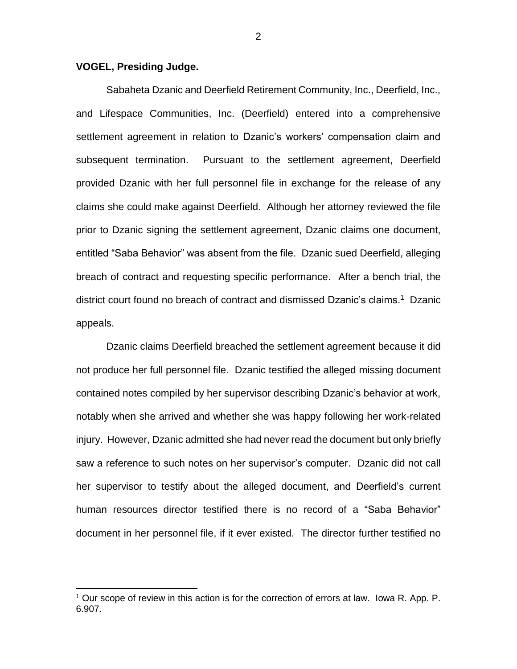## **VOGEL, Presiding Judge.**

 $\overline{a}$ 

Sabaheta Dzanic and Deerfield Retirement Community, Inc., Deerfield, Inc., and Lifespace Communities, Inc. (Deerfield) entered into a comprehensive settlement agreement in relation to Dzanic's workers' compensation claim and subsequent termination. Pursuant to the settlement agreement, Deerfield provided Dzanic with her full personnel file in exchange for the release of any claims she could make against Deerfield. Although her attorney reviewed the file prior to Dzanic signing the settlement agreement, Dzanic claims one document, entitled "Saba Behavior" was absent from the file. Dzanic sued Deerfield, alleging breach of contract and requesting specific performance. After a bench trial, the district court found no breach of contract and dismissed Dzanic's claims.<sup>1</sup> Dzanic appeals.

Dzanic claims Deerfield breached the settlement agreement because it did not produce her full personnel file. Dzanic testified the alleged missing document contained notes compiled by her supervisor describing Dzanic's behavior at work, notably when she arrived and whether she was happy following her work-related injury. However, Dzanic admitted she had never read the document but only briefly saw a reference to such notes on her supervisor's computer. Dzanic did not call her supervisor to testify about the alleged document, and Deerfield's current human resources director testified there is no record of a "Saba Behavior" document in her personnel file, if it ever existed. The director further testified no

 $1$  Our scope of review in this action is for the correction of errors at law. Iowa R. App. P. 6.907.